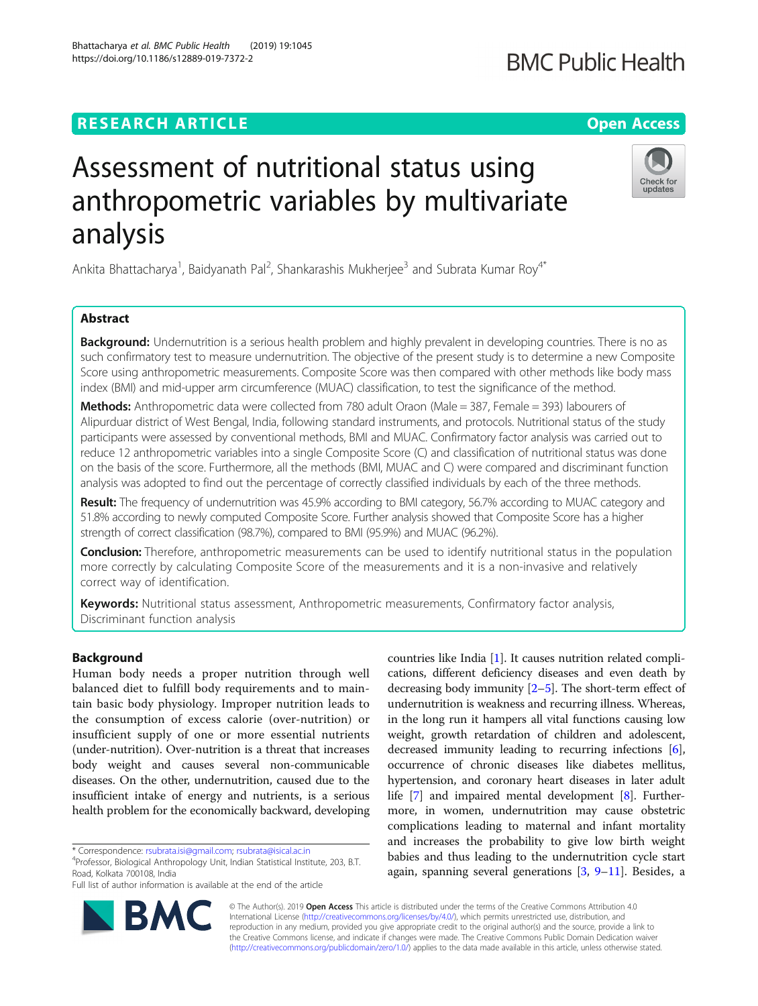https://doi.org/10.1186/s12889-019-7372-2

Bhattacharya et al. BMC Public Health (2019) 19:1045

# Assessment of nutritional status using anthropometric variables by multivariate analysis

Ankita Bhattacharya<sup>1</sup>, Baidyanath Pal<sup>2</sup>, Shankarashis Mukherjee<sup>3</sup> and Subrata Kumar Roy<sup>4\*</sup>

## Abstract

Background: Undernutrition is a serious health problem and highly prevalent in developing countries. There is no as such confirmatory test to measure undernutrition. The objective of the present study is to determine a new Composite Score using anthropometric measurements. Composite Score was then compared with other methods like body mass index (BMI) and mid-upper arm circumference (MUAC) classification, to test the significance of the method.

Methods: Anthropometric data were collected from 780 adult Oraon (Male = 387, Female = 393) labourers of Alipurduar district of West Bengal, India, following standard instruments, and protocols. Nutritional status of the study participants were assessed by conventional methods, BMI and MUAC. Confirmatory factor analysis was carried out to reduce 12 anthropometric variables into a single Composite Score (C) and classification of nutritional status was done on the basis of the score. Furthermore, all the methods (BMI, MUAC and C) were compared and discriminant function analysis was adopted to find out the percentage of correctly classified individuals by each of the three methods.

Result: The frequency of undernutrition was 45.9% according to BMI category, 56.7% according to MUAC category and 51.8% according to newly computed Composite Score. Further analysis showed that Composite Score has a higher strength of correct classification (98.7%), compared to BMI (95.9%) and MUAC (96.2%).

**Conclusion:** Therefore, anthropometric measurements can be used to identify nutritional status in the population more correctly by calculating Composite Score of the measurements and it is a non-invasive and relatively correct way of identification.

Keywords: Nutritional status assessment, Anthropometric measurements, Confirmatory factor analysis, Discriminant function analysis

## Background

Human body needs a proper nutrition through well balanced diet to fulfill body requirements and to maintain basic body physiology. Improper nutrition leads to the consumption of excess calorie (over-nutrition) or insufficient supply of one or more essential nutrients (under-nutrition). Over-nutrition is a threat that increases body weight and causes several non-communicable diseases. On the other, undernutrition, caused due to the insufficient intake of energy and nutrients, is a serious health problem for the economically backward, developing

\* Correspondence: [rsubrata.isi@gmail.com](mailto:rsubrata.isi@gmail.com); [rsubrata@isical.ac.in](mailto:rsubrata@isical.ac.in) <sup>4</sup>

Professor, Biological Anthropology Unit, Indian Statistical Institute, 203, B.T. Road, Kolkata 700108, India

Full list of author information is available at the end of the article

hypertension, and coronary heart diseases in later adult life [[7\]](#page-7-0) and impaired mental development [\[8](#page-7-0)]. Furthermore, in women, undernutrition may cause obstetric complications leading to maternal and infant mortality and increases the probability to give low birth weight babies and thus leading to the undernutrition cycle start again, spanning several generations [\[3](#page-7-0), [9](#page-7-0)–[11\]](#page-7-0). Besides, a © The Author(s). 2019 Open Access This article is distributed under the terms of the Creative Commons Attribution 4.0 International License [\(http://creativecommons.org/licenses/by/4.0/](http://creativecommons.org/licenses/by/4.0/)), which permits unrestricted use, distribution, and reproduction in any medium, provided you give appropriate credit to the original author(s) and the source, provide a link to

countries like India [\[1\]](#page-7-0). It causes nutrition related complications, different deficiency diseases and even death by decreasing body immunity [[2](#page-7-0)–[5](#page-7-0)]. The short-term effect of undernutrition is weakness and recurring illness. Whereas, in the long run it hampers all vital functions causing low weight, growth retardation of children and adolescent, decreased immunity leading to recurring infections [[6](#page-7-0)], occurrence of chronic diseases like diabetes mellitus,







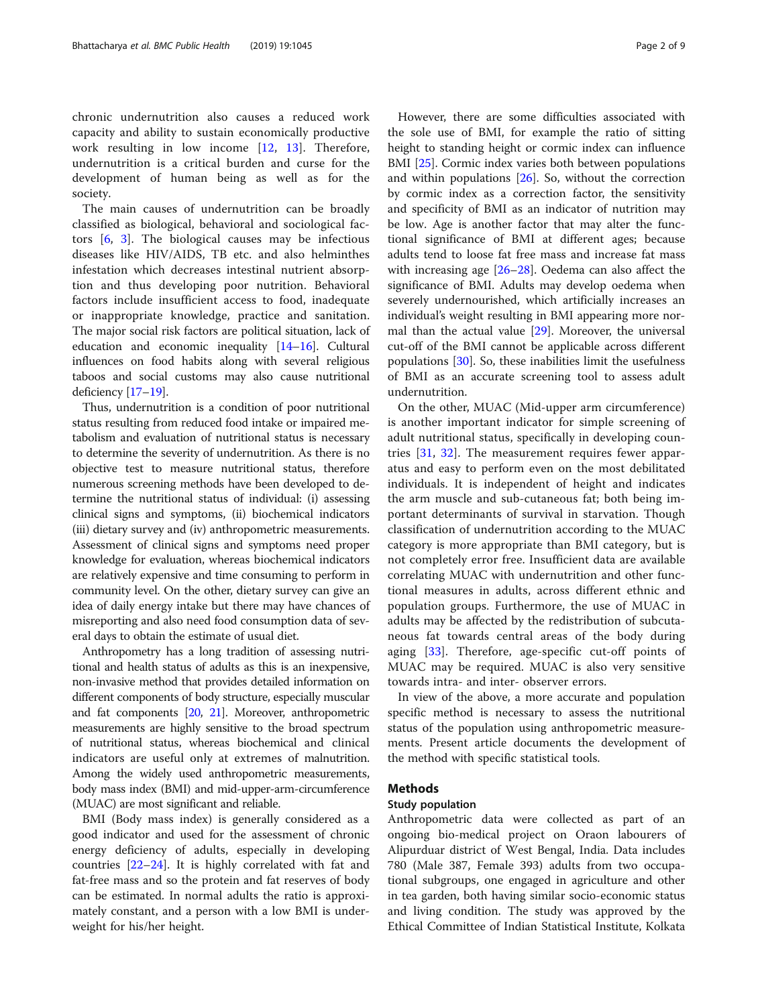chronic undernutrition also causes a reduced work capacity and ability to sustain economically productive work resulting in low income [[12,](#page-7-0) [13\]](#page-7-0). Therefore, undernutrition is a critical burden and curse for the development of human being as well as for the society.

The main causes of undernutrition can be broadly classified as biological, behavioral and sociological factors [[6,](#page-7-0) [3\]](#page-7-0). The biological causes may be infectious diseases like HIV/AIDS, TB etc. and also helminthes infestation which decreases intestinal nutrient absorption and thus developing poor nutrition. Behavioral factors include insufficient access to food, inadequate or inappropriate knowledge, practice and sanitation. The major social risk factors are political situation, lack of education and economic inequality [\[14](#page-7-0)–[16](#page-7-0)]. Cultural influences on food habits along with several religious taboos and social customs may also cause nutritional deficiency [\[17](#page-7-0)–[19](#page-7-0)].

Thus, undernutrition is a condition of poor nutritional status resulting from reduced food intake or impaired metabolism and evaluation of nutritional status is necessary to determine the severity of undernutrition. As there is no objective test to measure nutritional status, therefore numerous screening methods have been developed to determine the nutritional status of individual: (i) assessing clinical signs and symptoms, (ii) biochemical indicators (iii) dietary survey and (iv) anthropometric measurements. Assessment of clinical signs and symptoms need proper knowledge for evaluation, whereas biochemical indicators are relatively expensive and time consuming to perform in community level. On the other, dietary survey can give an idea of daily energy intake but there may have chances of misreporting and also need food consumption data of several days to obtain the estimate of usual diet.

Anthropometry has a long tradition of assessing nutritional and health status of adults as this is an inexpensive, non-invasive method that provides detailed information on different components of body structure, especially muscular and fat components [\[20](#page-7-0), [21](#page-7-0)]. Moreover, anthropometric measurements are highly sensitive to the broad spectrum of nutritional status, whereas biochemical and clinical indicators are useful only at extremes of malnutrition. Among the widely used anthropometric measurements, body mass index (BMI) and mid-upper-arm-circumference (MUAC) are most significant and reliable.

BMI (Body mass index) is generally considered as a good indicator and used for the assessment of chronic energy deficiency of adults, especially in developing countries [[22](#page-7-0)–[24](#page-7-0)]. It is highly correlated with fat and fat-free mass and so the protein and fat reserves of body can be estimated. In normal adults the ratio is approximately constant, and a person with a low BMI is underweight for his/her height.

However, there are some difficulties associated with the sole use of BMI, for example the ratio of sitting height to standing height or cormic index can influence BMI [\[25\]](#page-7-0). Cormic index varies both between populations and within populations [[26](#page-7-0)]. So, without the correction by cormic index as a correction factor, the sensitivity and specificity of BMI as an indicator of nutrition may be low. Age is another factor that may alter the functional significance of BMI at different ages; because adults tend to loose fat free mass and increase fat mass with increasing age [\[26](#page-7-0)–[28\]](#page-7-0). Oedema can also affect the significance of BMI. Adults may develop oedema when severely undernourished, which artificially increases an individual's weight resulting in BMI appearing more normal than the actual value  $[29]$  $[29]$ . Moreover, the universal cut-off of the BMI cannot be applicable across different populations [[30\]](#page-7-0). So, these inabilities limit the usefulness of BMI as an accurate screening tool to assess adult undernutrition.

On the other, MUAC (Mid-upper arm circumference) is another important indicator for simple screening of adult nutritional status, specifically in developing countries [\[31](#page-7-0), [32](#page-7-0)]. The measurement requires fewer apparatus and easy to perform even on the most debilitated individuals. It is independent of height and indicates the arm muscle and sub-cutaneous fat; both being important determinants of survival in starvation. Though classification of undernutrition according to the MUAC category is more appropriate than BMI category, but is not completely error free. Insufficient data are available correlating MUAC with undernutrition and other functional measures in adults, across different ethnic and population groups. Furthermore, the use of MUAC in adults may be affected by the redistribution of subcutaneous fat towards central areas of the body during aging [[33\]](#page-7-0). Therefore, age-specific cut-off points of MUAC may be required. MUAC is also very sensitive towards intra- and inter- observer errors.

In view of the above, a more accurate and population specific method is necessary to assess the nutritional status of the population using anthropometric measurements. Present article documents the development of the method with specific statistical tools.

## Methods

## Study population

Anthropometric data were collected as part of an ongoing bio-medical project on Oraon labourers of Alipurduar district of West Bengal, India. Data includes 780 (Male 387, Female 393) adults from two occupational subgroups, one engaged in agriculture and other in tea garden, both having similar socio-economic status and living condition. The study was approved by the Ethical Committee of Indian Statistical Institute, Kolkata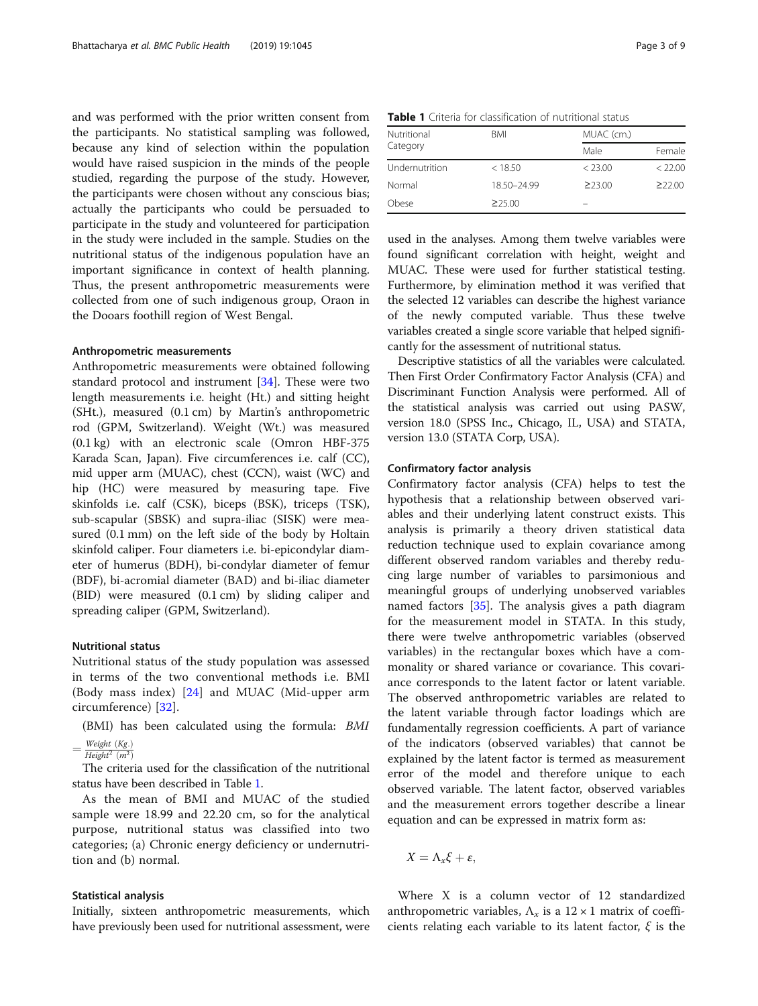and was performed with the prior written consent from the participants. No statistical sampling was followed, because any kind of selection within the population would have raised suspicion in the minds of the people studied, regarding the purpose of the study. However, the participants were chosen without any conscious bias; actually the participants who could be persuaded to participate in the study and volunteered for participation in the study were included in the sample. Studies on the nutritional status of the indigenous population have an important significance in context of health planning. Thus, the present anthropometric measurements were collected from one of such indigenous group, Oraon in the Dooars foothill region of West Bengal.

## Anthropometric measurements

Anthropometric measurements were obtained following standard protocol and instrument [\[34\]](#page-7-0). These were two length measurements i.e. height (Ht.) and sitting height (SHt.), measured (0.1 cm) by Martin's anthropometric rod (GPM, Switzerland). Weight (Wt.) was measured (0.1 kg) with an electronic scale (Omron HBF-375 Karada Scan, Japan). Five circumferences i.e. calf (CC), mid upper arm (MUAC), chest (CCN), waist (WC) and hip (HC) were measured by measuring tape. Five skinfolds i.e. calf (CSK), biceps (BSK), triceps (TSK), sub-scapular (SBSK) and supra-iliac (SISK) were measured (0.1 mm) on the left side of the body by Holtain skinfold caliper. Four diameters i.e. bi-epicondylar diameter of humerus (BDH), bi-condylar diameter of femur (BDF), bi-acromial diameter (BAD) and bi-iliac diameter (BID) were measured (0.1 cm) by sliding caliper and spreading caliper (GPM, Switzerland).

#### Nutritional status

Nutritional status of the study population was assessed in terms of the two conventional methods i.e. BMI (Body mass index) [\[24](#page-7-0)] and MUAC (Mid-upper arm circumference) [\[32](#page-7-0)].

(BMI) has been calculated using the formula: BMI

```
=\frac{Weight (Kg.)}{Height^2 (m^2)}
```
The criteria used for the classification of the nutritional status have been described in Table 1.

As the mean of BMI and MUAC of the studied sample were 18.99 and 22.20 cm, so for the analytical purpose, nutritional status was classified into two categories; (a) Chronic energy deficiency or undernutrition and (b) normal.

#### Statistical analysis

Initially, sixteen anthropometric measurements, which have previously been used for nutritional assessment, were

| <b>Table 1</b> Criteria for classification of nutritional status |
|------------------------------------------------------------------|
|------------------------------------------------------------------|

| Nutritional    | <b>BMI</b>  | MUAC (cm.)   |         |  |  |  |
|----------------|-------------|--------------|---------|--|--|--|
| Category       |             | Male         | Female  |  |  |  |
| Undernutrition | < 18.50     | < 23.00      | < 22.00 |  |  |  |
| Normal         | 18.50-24.99 | $\geq$ 23.00 | 222.00  |  |  |  |
| Obese          | 225.00      |              |         |  |  |  |

used in the analyses. Among them twelve variables were found significant correlation with height, weight and MUAC. These were used for further statistical testing. Furthermore, by elimination method it was verified that the selected 12 variables can describe the highest variance of the newly computed variable. Thus these twelve variables created a single score variable that helped significantly for the assessment of nutritional status.

Descriptive statistics of all the variables were calculated. Then First Order Confirmatory Factor Analysis (CFA) and Discriminant Function Analysis were performed. All of the statistical analysis was carried out using PASW, version 18.0 (SPSS Inc., Chicago, IL, USA) and STATA, version 13.0 (STATA Corp, USA).

#### Confirmatory factor analysis

Confirmatory factor analysis (CFA) helps to test the hypothesis that a relationship between observed variables and their underlying latent construct exists. This analysis is primarily a theory driven statistical data reduction technique used to explain covariance among different observed random variables and thereby reducing large number of variables to parsimonious and meaningful groups of underlying unobserved variables named factors [\[35](#page-7-0)]. The analysis gives a path diagram for the measurement model in STATA. In this study, there were twelve anthropometric variables (observed variables) in the rectangular boxes which have a commonality or shared variance or covariance. This covariance corresponds to the latent factor or latent variable. The observed anthropometric variables are related to the latent variable through factor loadings which are fundamentally regression coefficients. A part of variance of the indicators (observed variables) that cannot be explained by the latent factor is termed as measurement error of the model and therefore unique to each observed variable. The latent factor, observed variables and the measurement errors together describe a linear equation and can be expressed in matrix form as:

 $X = \Lambda_x \xi + \varepsilon$ 

Where X is a column vector of 12 standardized anthropometric variables,  $\Lambda_{\kappa}$  is a  $12 \times 1$  matrix of coefficients relating each variable to its latent factor,  $\xi$  is the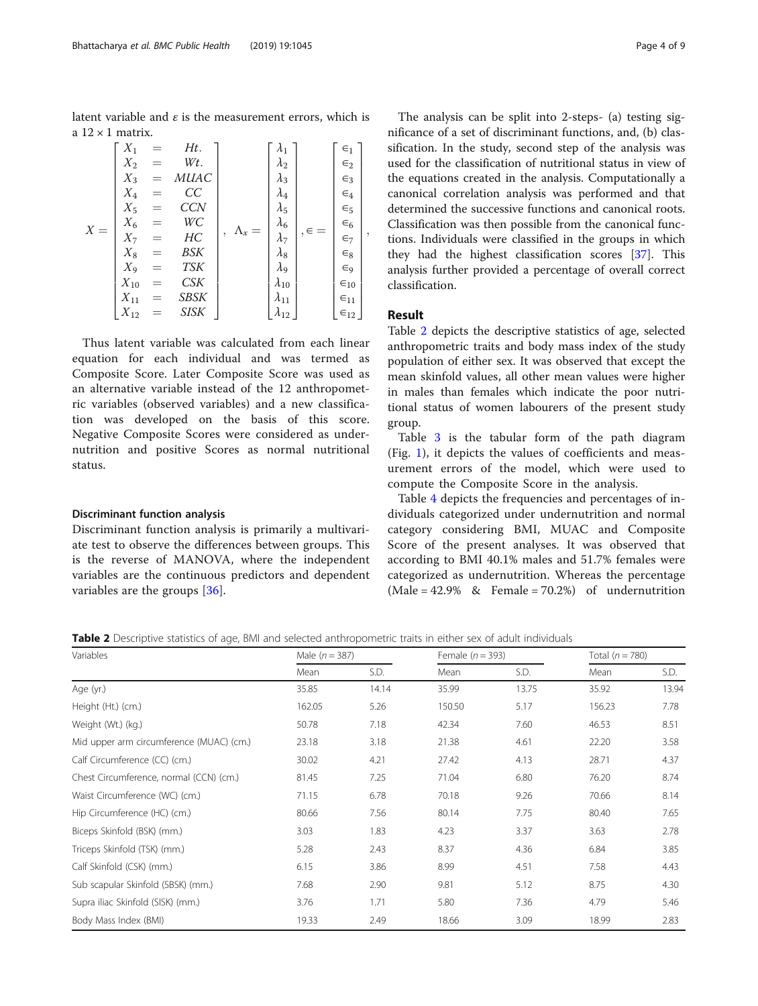latent variable and  $\varepsilon$  is the measurement errors, which is a 12 × 1 matrix.

$$
X = \begin{bmatrix} X_1 & = & Ht. \\ X_2 & = & Wt. \\ X_3 & = & M UAC \\ X_4 & = & CC \\ X_5 & = & WC \\ X_6 & = & WC \\ X_7 & = & HC \\ X_8 & = & BSK \\ X_9 & = & TSK \\ X_{10} & = & CSK \\ X_{11} & = & SBSK \\ X_{12} & = & SISK \end{bmatrix}, \ \Lambda_x = \begin{bmatrix} \lambda_1 \\ \lambda_2 \\ \lambda_3 \\ \lambda_4 \\ \lambda_5 \\ \lambda_6 \\ \lambda_7 \\ \lambda_8 \\ \lambda_9 \\ \lambda_{10} \\ \lambda_{11} \\ \lambda_{12} \end{bmatrix}, \infty = \begin{bmatrix} \epsilon_1 \\ \epsilon_2 \\ \epsilon_3 \\ \epsilon_4 \\ \epsilon_5 \\ \epsilon_6 \\ \epsilon_7 \\ \lambda_{10} \\ \epsilon_{11} \\ \epsilon_{12} \\ \epsilon_{11} \\ \epsilon_{12} \end{bmatrix},
$$

Thus latent variable was calculated from each linear equation for each individual and was termed as Composite Score. Later Composite Score was used as an alternative variable instead of the 12 anthropometric variables (observed variables) and a new classification was developed on the basis of this score. Negative Composite Scores were considered as undernutrition and positive Scores as normal nutritional status.

#### Discriminant function analysis

Discriminant function analysis is primarily a multivariate test to observe the differences between groups. This is the reverse of MANOVA, where the independent variables are the continuous predictors and dependent variables are the groups [\[36](#page-7-0)].

The analysis can be split into 2-steps- (a) testing significance of a set of discriminant functions, and, (b) classification. In the study, second step of the analysis was used for the classification of nutritional status in view of the equations created in the analysis. Computationally a canonical correlation analysis was performed and that determined the successive functions and canonical roots. Classification was then possible from the canonical functions. Individuals were classified in the groups in which they had the highest classification scores [[37\]](#page-7-0). This analysis further provided a percentage of overall correct classification.

## Result

Table 2 depicts the descriptive statistics of age, selected anthropometric traits and body mass index of the study population of either sex. It was observed that except the mean skinfold values, all other mean values were higher in males than females which indicate the poor nutritional status of women labourers of the present study group.

Table [3](#page-4-0) is the tabular form of the path diagram (Fig. [1\)](#page-4-0), it depicts the values of coefficients and measurement errors of the model, which were used to compute the Composite Score in the analysis.

Table [4](#page-5-0) depicts the frequencies and percentages of individuals categorized under undernutrition and normal category considering BMI, MUAC and Composite Score of the present analyses. It was observed that according to BMI 40.1% males and 51.7% females were categorized as undernutrition. Whereas the percentage  $(Male = 42.9\% \& Female = 70.2\%) \text{ of under(1)}$ 

Table 2 Descriptive statistics of age, BMI and selected anthropometric traits in either sex of adult individuals

| Variables                                | Male $(n = 387)$ |       | Female $(n = 393)$ |       | Total $(n = 780)$ |       |  |
|------------------------------------------|------------------|-------|--------------------|-------|-------------------|-------|--|
|                                          | Mean             | S.D.  | Mean               | S.D.  | Mean              | S.D.  |  |
| Age (yr.)                                | 35.85            | 14.14 | 35.99              | 13.75 | 35.92             | 13.94 |  |
| Height (Ht.) (cm.)                       | 162.05           | 5.26  | 150.50             | 5.17  | 156.23            | 7.78  |  |
| Weight (Wt.) (kg.)                       | 50.78            | 7.18  | 42.34              | 7.60  | 46.53             | 8.51  |  |
| Mid upper arm circumference (MUAC) (cm.) | 23.18            | 3.18  | 21.38              | 4.61  | 22.20             | 3.58  |  |
| Calf Circumference (CC) (cm.)            | 30.02            | 4.21  | 27.42              | 4.13  | 28.71             | 4.37  |  |
| Chest Circumference, normal (CCN) (cm.)  | 81.45            | 7.25  | 71.04              | 6.80  | 76.20             | 8.74  |  |
| Waist Circumference (WC) (cm.)           | 71.15            | 6.78  | 70.18              | 9.26  | 70.66             | 8.14  |  |
| Hip Circumference (HC) (cm.)             | 80.66            | 7.56  | 80.14              | 7.75  | 80.40             | 7.65  |  |
| Biceps Skinfold (BSK) (mm.)              | 3.03             | 1.83  | 4.23               | 3.37  | 3.63              | 2.78  |  |
| Triceps Skinfold (TSK) (mm.)             | 5.28             | 2.43  | 8.37               | 4.36  | 6.84              | 3.85  |  |
| Calf Skinfold (CSK) (mm.)                | 6.15             | 3.86  | 8.99               | 4.51  | 7.58              | 4.43  |  |
| Sub scapular Skinfold (SBSK) (mm.)       | 7.68             | 2.90  | 9.81               | 5.12  | 8.75              | 4.30  |  |
| Supra iliac Skinfold (SISK) (mm.)        | 3.76             | 1.71  | 5.80               | 7.36  | 4.79              | 5.46  |  |
| Body Mass Index (BMI)                    | 19.33            | 2.49  | 18.66              | 3.09  | 18.99             | 2.83  |  |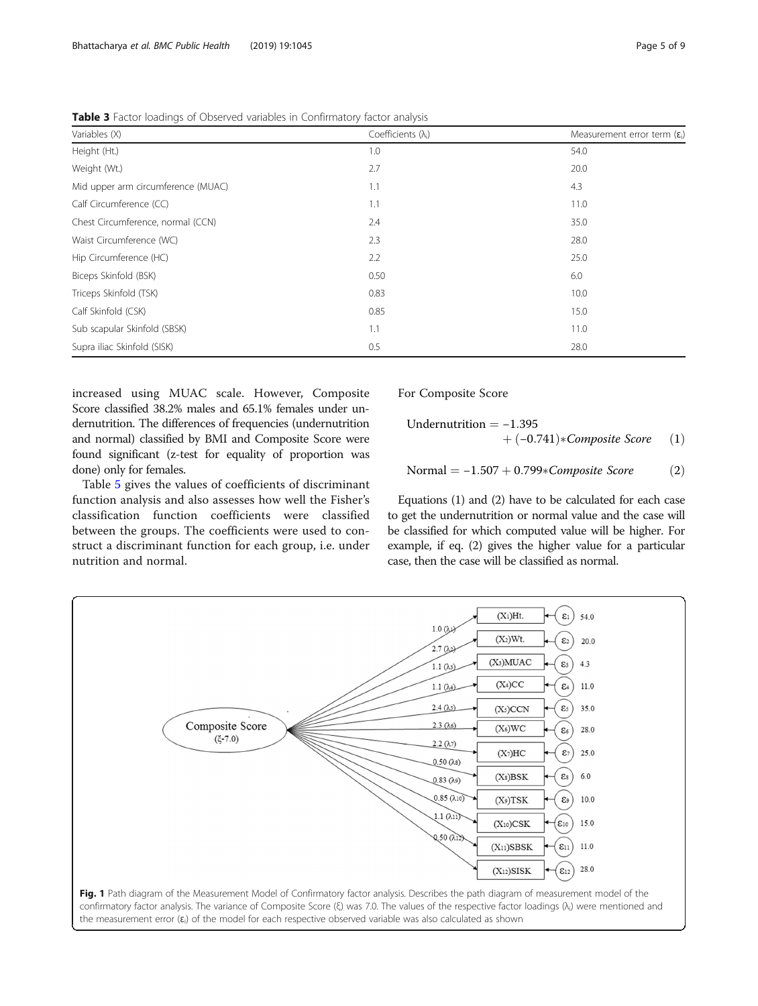increased using MUAC scale. However, Composite Score classified 38.2% males and 65.1% females under undernutrition. The differences of frequencies (undernutrition and normal) classified by BMI and Composite Score were found significant (z-test for equality of proportion was done) only for females.

Table [5](#page-5-0) gives the values of coefficients of discriminant function analysis and also assesses how well the Fisher's classification function coefficients were classified between the groups. The coefficients were used to construct a discriminant function for each group, i.e. under nutrition and normal.

For Composite Score

$$
Under nutrition = -1.395 + (-0.741)*Composite Score \t(1)
$$

 $\mathcal{M}$  Measurement error term  $(\mathcal{E}_i)$ 

$$
Normal = -1.507 + 0.799 * Composite Score
$$
 (2)

Equations (1) and (2) have to be calculated for each case to get the undernutrition or normal value and the case will be classified for which computed value will be higher. For example, if eq. (2) gives the higher value for a particular case, then the case will be classified as normal.

<span id="page-4-0"></span>

Table 3 Factor loadings of Observed variables in Confirmatory factor analysis Variables  $(X)$  Coefficients  $(\lambda_i)$ 

Height (Ht.) 1.0 54.0 Weight (Wt.) 2.7 20.0 Mid upper arm circumference (MUAC) 1.1 4.3 Calf Circumference (CC) 1.1 11.0 11.0 Chest Circumference, normal (CCN) 2.4 35.0 Waist Circumference (WC) 2.3 28.0 Hip Circumference (HC) 25.0 Biceps Skinfold (BSK) 0.50 6.0 Triceps Skinfold (TSK) 10.0 Calf Skinfold (CSK) 8.85 15.0 Sub scapular Skinfold (SBSK) 1.1 11.0 Supra iliac Skinfold (SISK) 0.5 28.0

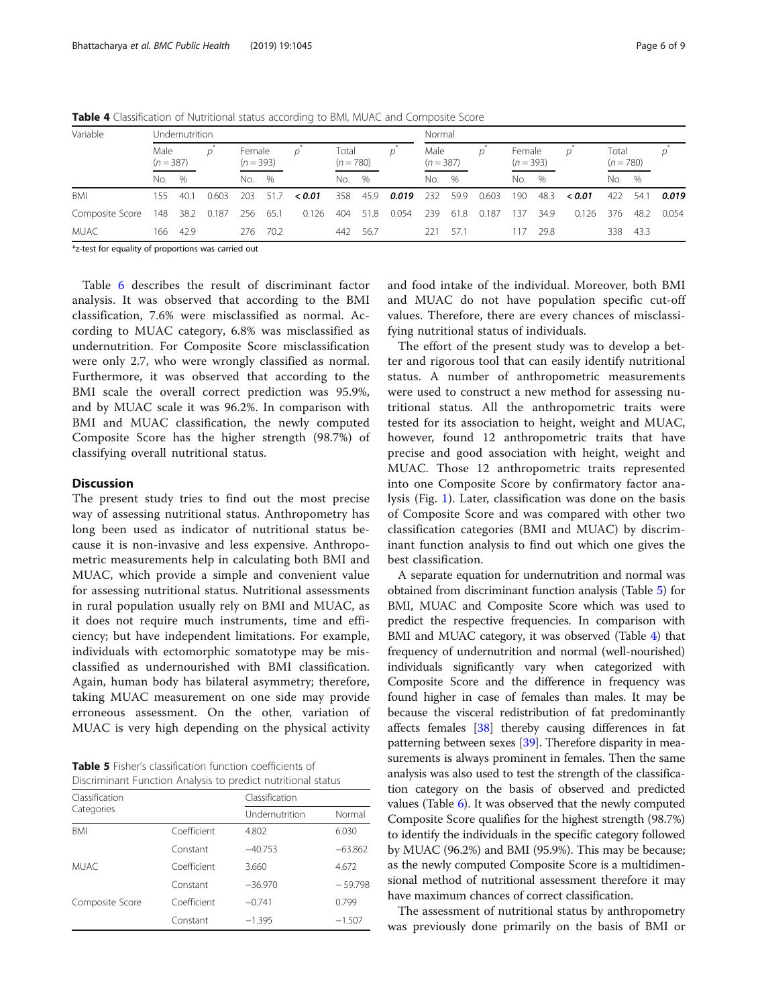| Variable        | <b>Undernutrition</b> |        |       |                       |      |        |                      |      | Normal |                     |       |       |     |                       |        |                      |      |       |
|-----------------|-----------------------|--------|-------|-----------------------|------|--------|----------------------|------|--------|---------------------|-------|-------|-----|-----------------------|--------|----------------------|------|-------|
|                 | Male<br>$(n = 387)$   |        | D     | Female<br>$(n = 393)$ |      | D      | Total<br>$(n = 780)$ |      |        | Male<br>$(n = 387)$ |       | D     |     | Female<br>$(n = 393)$ | D      | Total<br>$(n = 780)$ |      |       |
|                 | No.                   | %      | No. % |                       |      |        | $\%$                 |      | No.    | $\%$                |       | No.   | %   |                       | No.    | $\%$                 |      |       |
| <b>BMI</b>      | 155                   | 40.1   | 0.603 | 203                   | 51.7 | < 0.01 | 358                  | 45.9 | 0.019  | 232                 | 59.9  | 0.603 | 190 | 48.3                  | < 0.01 | 422                  | 54.1 | 0.019 |
| Composite Score | 148                   | 38.2   | 0.187 | 256                   | 65.1 | 0.126  | 404                  | 51.8 | 0.054  | 239                 | -61.8 | 0.187 | 137 | 34.9                  | 0.126  | 376                  | 48.2 | 0.054 |
| <b>MUAC</b>     | 166                   | - 42.9 |       | 276.                  | 70.2 |        | 442                  | 56.7 |        | 221                 | 57.1  |       | 17  | 29.8                  |        | 338                  | 43.3 |       |

<span id="page-5-0"></span>Table 4 Classification of Nutritional status according to BMI, MUAC and Composite Score

\*z-test for equality of proportions was carried out

Table [6](#page-6-0) describes the result of discriminant factor analysis. It was observed that according to the BMI classification, 7.6% were misclassified as normal. According to MUAC category, 6.8% was misclassified as undernutrition. For Composite Score misclassification were only 2.7, who were wrongly classified as normal. Furthermore, it was observed that according to the BMI scale the overall correct prediction was 95.9%, and by MUAC scale it was 96.2%. In comparison with BMI and MUAC classification, the newly computed Composite Score has the higher strength (98.7%) of classifying overall nutritional status.

#### **Discussion**

The present study tries to find out the most precise way of assessing nutritional status. Anthropometry has long been used as indicator of nutritional status because it is non-invasive and less expensive. Anthropometric measurements help in calculating both BMI and MUAC, which provide a simple and convenient value for assessing nutritional status. Nutritional assessments in rural population usually rely on BMI and MUAC, as it does not require much instruments, time and efficiency; but have independent limitations. For example, individuals with ectomorphic somatotype may be misclassified as undernourished with BMI classification. Again, human body has bilateral asymmetry; therefore, taking MUAC measurement on one side may provide erroneous assessment. On the other, variation of MUAC is very high depending on the physical activity

Table 5 Fisher's classification function coefficients of Discriminant Function Analysis to predict nutritional status

| Classification  |             | Classification |           |  |  |  |  |
|-----------------|-------------|----------------|-----------|--|--|--|--|
| Categories      |             | Undernutrition | Normal    |  |  |  |  |
| BMI             | Coefficient | 4.802          | 6.030     |  |  |  |  |
|                 | Constant    | $-40.753$      | $-63.862$ |  |  |  |  |
| <b>MUAC</b>     | Coefficient | 3.660          | 4.672     |  |  |  |  |
|                 | Constant    | $-36.970$      | $-59.798$ |  |  |  |  |
| Composite Score | Coefficient | $-0.741$       | 0.799     |  |  |  |  |
|                 | Constant    | $-1.395$       | $-1.507$  |  |  |  |  |

and food intake of the individual. Moreover, both BMI and MUAC do not have population specific cut-off values. Therefore, there are every chances of misclassifying nutritional status of individuals.

The effort of the present study was to develop a better and rigorous tool that can easily identify nutritional status. A number of anthropometric measurements were used to construct a new method for assessing nutritional status. All the anthropometric traits were tested for its association to height, weight and MUAC, however, found 12 anthropometric traits that have precise and good association with height, weight and MUAC. Those 12 anthropometric traits represented into one Composite Score by confirmatory factor analysis (Fig. [1](#page-4-0)). Later, classification was done on the basis of Composite Score and was compared with other two classification categories (BMI and MUAC) by discriminant function analysis to find out which one gives the best classification.

A separate equation for undernutrition and normal was obtained from discriminant function analysis (Table 5) for BMI, MUAC and Composite Score which was used to predict the respective frequencies. In comparison with BMI and MUAC category, it was observed (Table 4) that frequency of undernutrition and normal (well-nourished) individuals significantly vary when categorized with Composite Score and the difference in frequency was found higher in case of females than males. It may be because the visceral redistribution of fat predominantly affects females [\[38\]](#page-7-0) thereby causing differences in fat patterning between sexes [\[39\]](#page-7-0). Therefore disparity in measurements is always prominent in females. Then the same analysis was also used to test the strength of the classification category on the basis of observed and predicted values (Table [6\)](#page-6-0). It was observed that the newly computed Composite Score qualifies for the highest strength (98.7%) to identify the individuals in the specific category followed by MUAC (96.2%) and BMI (95.9%). This may be because; as the newly computed Composite Score is a multidimensional method of nutritional assessment therefore it may have maximum chances of correct classification.

The assessment of nutritional status by anthropometry was previously done primarily on the basis of BMI or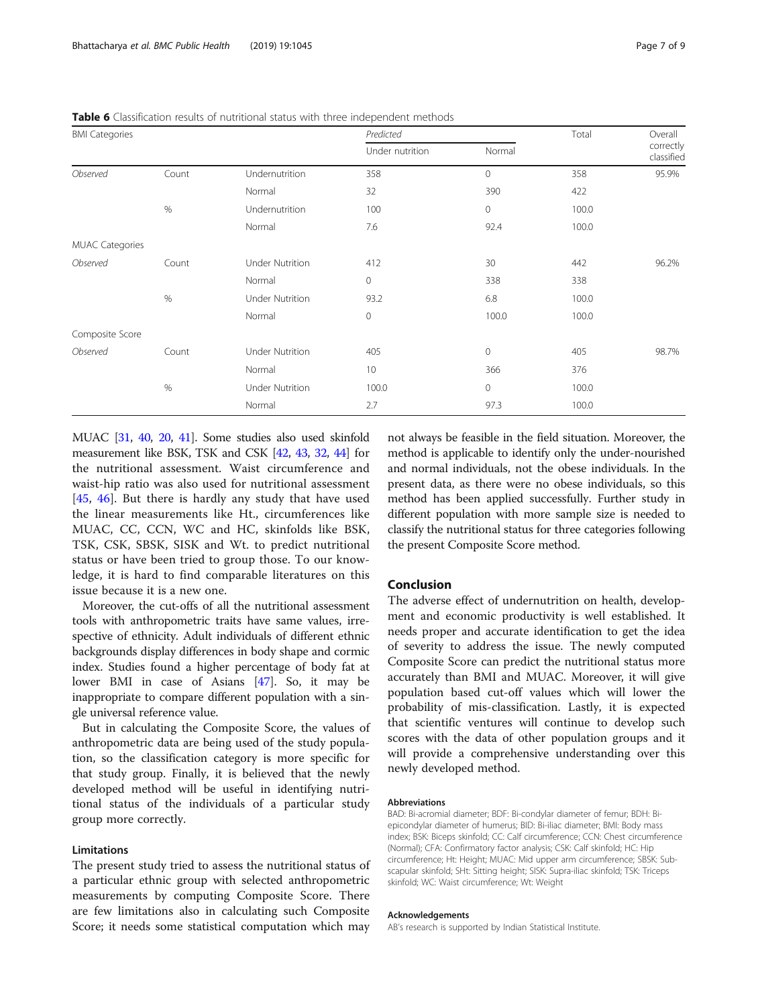<span id="page-6-0"></span>Table 6 Classification results of nutritional status with three independent methods

| <b>BMI Categories</b>  |       |                        | Predicted       |              |       |                         |  |  |
|------------------------|-------|------------------------|-----------------|--------------|-------|-------------------------|--|--|
|                        |       |                        | Under nutrition | Normal       |       | correctly<br>classified |  |  |
| Observed               | Count | Undernutrition         | 358             | $\mathbf{0}$ | 358   | 95.9%                   |  |  |
|                        |       | Normal                 | 32              | 390          | 422   |                         |  |  |
|                        | %     | Undernutrition         | 100             | $\mathbf{0}$ | 100.0 |                         |  |  |
|                        |       | Normal                 | 7.6             | 92.4         | 100.0 |                         |  |  |
| <b>MUAC Categories</b> |       |                        |                 |              |       |                         |  |  |
| Observed               | Count | <b>Under Nutrition</b> | 412             | 30           | 442   | 96.2%                   |  |  |
|                        |       | Normal                 | $\mathbf 0$     | 338          | 338   |                         |  |  |
|                        | %     | <b>Under Nutrition</b> | 93.2            | 6.8          | 100.0 |                         |  |  |
|                        |       | Normal                 | $\mathbf 0$     | 100.0        | 100.0 |                         |  |  |
| Composite Score        |       |                        |                 |              |       |                         |  |  |
| Observed               | Count | <b>Under Nutrition</b> | 405             | $\mathbf 0$  | 405   | 98.7%                   |  |  |
|                        |       | Normal                 | 10              | 366          | 376   |                         |  |  |
|                        | $\%$  | <b>Under Nutrition</b> | 100.0           | $\mathbf{0}$ | 100.0 |                         |  |  |
|                        |       | Normal                 | 2.7             | 97.3         | 100.0 |                         |  |  |

MUAC [\[31](#page-7-0), [40](#page-7-0), [20](#page-7-0), [41](#page-7-0)]. Some studies also used skinfold measurement like BSK, TSK and CSK [\[42,](#page-8-0) [43,](#page-8-0) [32,](#page-7-0) [44](#page-8-0)] for the nutritional assessment. Waist circumference and waist-hip ratio was also used for nutritional assessment [[45,](#page-8-0) [46\]](#page-8-0). But there is hardly any study that have used the linear measurements like Ht., circumferences like MUAC, CC, CCN, WC and HC, skinfolds like BSK, TSK, CSK, SBSK, SISK and Wt. to predict nutritional status or have been tried to group those. To our knowledge, it is hard to find comparable literatures on this issue because it is a new one.

Moreover, the cut-offs of all the nutritional assessment tools with anthropometric traits have same values, irrespective of ethnicity. Adult individuals of different ethnic backgrounds display differences in body shape and cormic index. Studies found a higher percentage of body fat at lower BMI in case of Asians [[47](#page-8-0)]. So, it may be inappropriate to compare different population with a single universal reference value.

But in calculating the Composite Score, the values of anthropometric data are being used of the study population, so the classification category is more specific for that study group. Finally, it is believed that the newly developed method will be useful in identifying nutritional status of the individuals of a particular study group more correctly.

#### Limitations

The present study tried to assess the nutritional status of a particular ethnic group with selected anthropometric measurements by computing Composite Score. There are few limitations also in calculating such Composite Score; it needs some statistical computation which may

not always be feasible in the field situation. Moreover, the method is applicable to identify only the under-nourished and normal individuals, not the obese individuals. In the present data, as there were no obese individuals, so this method has been applied successfully. Further study in different population with more sample size is needed to classify the nutritional status for three categories following the present Composite Score method.

## Conclusion

The adverse effect of undernutrition on health, development and economic productivity is well established. It needs proper and accurate identification to get the idea of severity to address the issue. The newly computed Composite Score can predict the nutritional status more accurately than BMI and MUAC. Moreover, it will give population based cut-off values which will lower the probability of mis-classification. Lastly, it is expected that scientific ventures will continue to develop such scores with the data of other population groups and it will provide a comprehensive understanding over this newly developed method.

#### Abbreviations

BAD: Bi-acromial diameter; BDF: Bi-condylar diameter of femur; BDH: Biepicondylar diameter of humerus; BID: Bi-iliac diameter; BMI: Body mass index; BSK: Biceps skinfold; CC: Calf circumference; CCN: Chest circumference (Normal); CFA: Confirmatory factor analysis; CSK: Calf skinfold; HC: Hip circumference; Ht: Height; MUAC: Mid upper arm circumference; SBSK: Subscapular skinfold; SHt: Sitting height; SISK: Supra-iliac skinfold; TSK: Triceps skinfold; WC: Waist circumference; Wt: Weight

#### Acknowledgements

AB's research is supported by Indian Statistical Institute.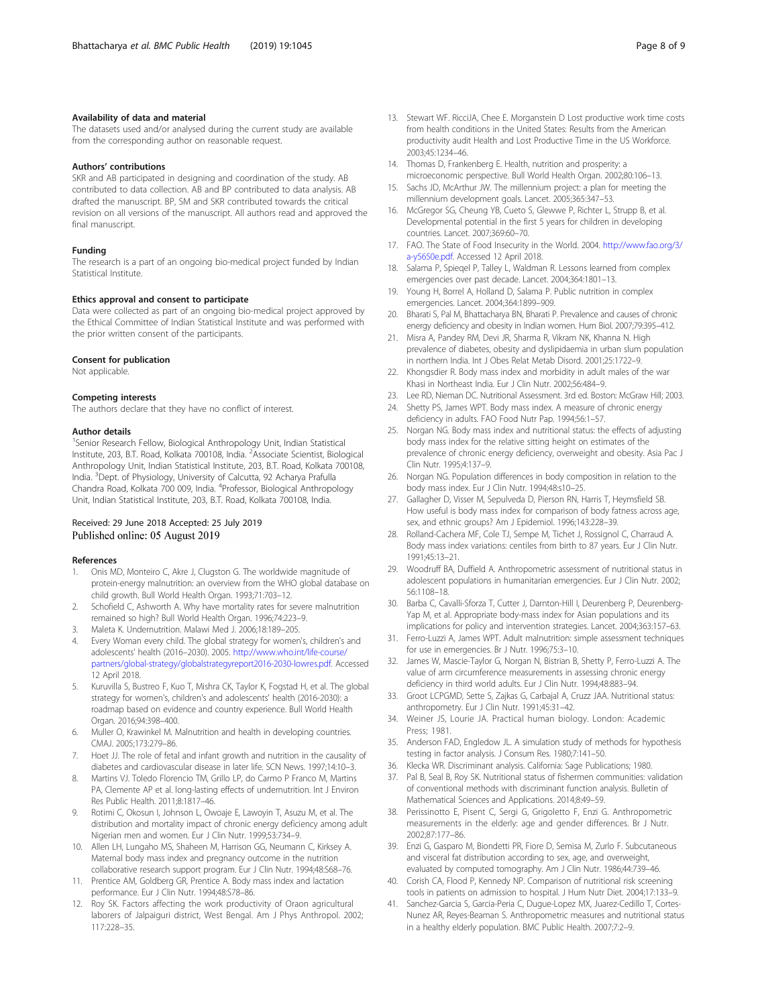### <span id="page-7-0"></span>Availability of data and material

The datasets used and/or analysed during the current study are available from the corresponding author on reasonable request.

#### Authors' contributions

SKR and AB participated in designing and coordination of the study. AB contributed to data collection. AB and BP contributed to data analysis. AB drafted the manuscript. BP, SM and SKR contributed towards the critical revision on all versions of the manuscript. All authors read and approved the final manuscript.

#### Funding

The research is a part of an ongoing bio-medical project funded by Indian Statistical Institute.

#### Ethics approval and consent to participate

Data were collected as part of an ongoing bio-medical project approved by the Ethical Committee of Indian Statistical Institute and was performed with the prior written consent of the participants.

#### Consent for publication

Not applicable.

#### Competing interests

The authors declare that they have no conflict of interest.

#### Author details

<sup>1</sup>Senior Research Fellow, Biological Anthropology Unit, Indian Statistical Institute, 203, B.T. Road, Kolkata 700108, India. <sup>2</sup>Associate Scientist, Biological Anthropology Unit, Indian Statistical Institute, 203, B.T. Road, Kolkata 700108, India. <sup>3</sup>Dept. of Physiology, University of Calcutta, 92 Acharya Prafulla Chandra Road, Kolkata 700 009, India. <sup>4</sup> Professor, Biological Anthropology Unit, Indian Statistical Institute, 203, B.T. Road, Kolkata 700108, India.

## Received: 29 June 2018 Accepted: 25 July 2019 Published online: 05 August 2019

#### References

- 1. Onis MD, Monteiro C, Akre J, Clugston G. The worldwide magnitude of protein-energy malnutrition: an overview from the WHO global database on child growth. Bull World Health Organ. 1993;71:703–12.
- 2. Schofield C, Ashworth A. Why have mortality rates for severe malnutrition remained so high? Bull World Health Organ. 1996;74:223–9.
- Maleta K. Undernutrition. Malawi Med J. 2006;18:189-205.
- 4. Every Woman every child. The global strategy for women's, children's and adolescents' health (2016–2030). 2005. [http://www.who.int/life-course/](http://www.who.int/life-course/partners/global-strategy/globalstrategyreport2016-2030-lowres.pdf) [partners/global-strategy/globalstrategyreport2016-2030-lowres.pdf](http://www.who.int/life-course/partners/global-strategy/globalstrategyreport2016-2030-lowres.pdf). Accessed 12 April 2018.
- 5. Kuruvilla S, Bustreo F, Kuo T, Mishra CK, Taylor K, Fogstad H, et al. The global strategy for women's, children's and adolescents' health (2016-2030): a roadmap based on evidence and country experience. Bull World Health Organ. 2016;94:398–400.
- 6. Muller O, Krawinkel M. Malnutrition and health in developing countries. CMAJ. 2005;173:279–86.
- 7. Hoet JJ. The role of fetal and infant growth and nutrition in the causality of diabetes and cardiovascular disease in later life. SCN News. 1997;14:10–3.
- 8. Martins VJ. Toledo Florencio TM, Grillo LP, do Carmo P Franco M, Martins PA, Clemente AP et al. long-lasting effects of undernutrition. Int J Environ Res Public Health. 2011;8:1817–46.
- Rotimi C, Okosun I, Johnson L, Owoaje E, Lawoyin T, Asuzu M, et al. The distribution and mortality impact of chronic energy deficiency among adult Nigerian men and women. Eur J Clin Nutr. 1999;53:734–9.
- 10. Allen LH, Lungaho MS, Shaheen M, Harrison GG, Neumann C, Kirksey A. Maternal body mass index and pregnancy outcome in the nutrition collaborative research support program. Eur J Clin Nutr. 1994;48:S68–76.
- 11. Prentice AM, Goldberg GR, Prentice A. Body mass index and lactation performance. Eur J Clin Nutr. 1994;48:S78–86.
- 12. Roy SK. Factors affecting the work productivity of Oraon agricultural laborers of Jalpaiguri district, West Bengal. Am J Phys Anthropol. 2002; 117:228–35.
- 13. Stewart WF. RicciJA, Chee E. Morganstein D Lost productive work time costs from health conditions in the United States: Results from the American productivity audit Health and Lost Productive Time in the US Workforce. 2003;45:1234–46.
- 14. Thomas D, Frankenberg E. Health, nutrition and prosperity: a microeconomic perspective. Bull World Health Organ. 2002;80:106–13.
- 15. Sachs JD, McArthur JW. The millennium project: a plan for meeting the millennium development goals. Lancet. 2005;365:347–53.
- 16. McGregor SG, Cheung YB, Cueto S, Glewwe P, Richter L, Strupp B, et al. Developmental potential in the first 5 years for children in developing countries. Lancet. 2007;369:60–70.
- 17. FAO. The State of Food Insecurity in the World. 2004. [http://www.fao.org/3/](http://www.fao.org/3/a-y5650e.pdf) [a-y5650e.pdf.](http://www.fao.org/3/a-y5650e.pdf) Accessed 12 April 2018.
- 18. Salama P, Spieqel P, Talley L, Waldman R. Lessons learned from complex emergencies over past decade. Lancet. 2004;364:1801–13.
- 19. Young H, Borrel A, Holland D, Salama P. Public nutrition in complex emergencies. Lancet. 2004;364:1899–909.
- 20. Bharati S, Pal M, Bhattacharya BN, Bharati P. Prevalence and causes of chronic energy deficiency and obesity in Indian women. Hum Biol. 2007;79:395–412.
- 21. Misra A, Pandey RM, Devi JR, Sharma R, Vikram NK, Khanna N. High prevalence of diabetes, obesity and dyslipidaemia in urban slum population in northern India. Int J Obes Relat Metab Disord. 2001;25:1722–9.
- 22. Khongsdier R. Body mass index and morbidity in adult males of the war Khasi in Northeast India. Eur J Clin Nutr. 2002;56:484–9.
- 23. Lee RD, Nieman DC. Nutritional Assessment. 3rd ed. Boston: McGraw Hill; 2003. 24. Shetty PS, James WPT. Body mass index. A measure of chronic energy
- deficiency in adults. FAO Food Nutr Pap. 1994;56:1–57.
- 25. Norgan NG. Body mass index and nutritional status: the effects of adjusting body mass index for the relative sitting height on estimates of the prevalence of chronic energy deficiency, overweight and obesity. Asia Pac J Clin Nutr. 1995;4:137–9.
- 26. Norgan NG. Population differences in body composition in relation to the body mass index. Eur J Clin Nutr. 1994;48:s10–25.
- 27. Gallagher D, Visser M, Sepulveda D, Pierson RN, Harris T, Heymsfield SB. How useful is body mass index for comparison of body fatness across age, sex, and ethnic groups? Am J Epidemiol. 1996;143:228–39.
- 28. Rolland-Cachera MF, Cole TJ, Sempe M, Tichet J, Rossignol C, Charraud A. Body mass index variations: centiles from birth to 87 years. Eur J Clin Nutr. 1991;45:13–21.
- 29. Woodruff BA, Duffield A. Anthropometric assessment of nutritional status in adolescent populations in humanitarian emergencies. Eur J Clin Nutr. 2002; 56:1108–18.
- 30. Barba C, Cavalli-Sforza T, Cutter J, Darnton-Hill I, Deurenberg P, Deurenberg-Yap M, et al. Appropriate body-mass index for Asian populations and its implications for policy and intervention strategies. Lancet. 2004;363:157–63.
- 31. Ferro-Luzzi A, James WPT. Adult malnutrition: simple assessment techniques for use in emergencies. Br J Nutr. 1996;75:3–10.
- 32. James W, Mascie-Taylor G, Norgan N, Bistrian B, Shetty P, Ferro-Luzzi A. The value of arm circumference measurements in assessing chronic energy deficiency in third world adults. Eur J Clin Nutr. 1994;48:883–94.
- 33. Groot LCPGMD, Sette S, Zajkas G, Carbajal A, Cruzz JAA. Nutritional status: anthropometry. Eur J Clin Nutr. 1991;45:31–42.
- 34. Weiner JS, Lourie JA. Practical human biology. London: Academic Press; 1981.
- 35. Anderson FAD, Engledow JL. A simulation study of methods for hypothesis testing in factor analysis. J Consum Res. 1980;7:141–50.
- 36. Klecka WR. Discriminant analysis. California: Sage Publications; 1980.
- 37. Pal B, Seal B, Roy SK. Nutritional status of fishermen communities: validation of conventional methods with discriminant function analysis. Bulletin of Mathematical Sciences and Applications. 2014;8:49–59.
- 38. Perissinotto E, Pisent C, Sergi G, Grigoletto F, Enzi G. Anthropometric measurements in the elderly: age and gender differences. Br J Nutr. 2002;87:177–86.
- 39. Enzi G, Gasparo M, Biondetti PR, Fiore D, Semisa M, Zurlo F. Subcutaneous and visceral fat distribution according to sex, age, and overweight, evaluated by computed tomography. Am J Clin Nutr. 1986;44:739–46.
- 40. Corish CA, Flood P, Kennedy NP. Comparison of nutritional risk screening tools in patients on admission to hospital. J Hum Nutr Diet. 2004;17:133–9.
- 41. Sanchez-Garcia S, Garcia-Peria C, Dugue-Lopez MX, Juarez-Cedillo T, Cortes-Nunez AR, Reyes-Beaman S. Anthropometric measures and nutritional status in a healthy elderly population. BMC Public Health. 2007;7:2–9.